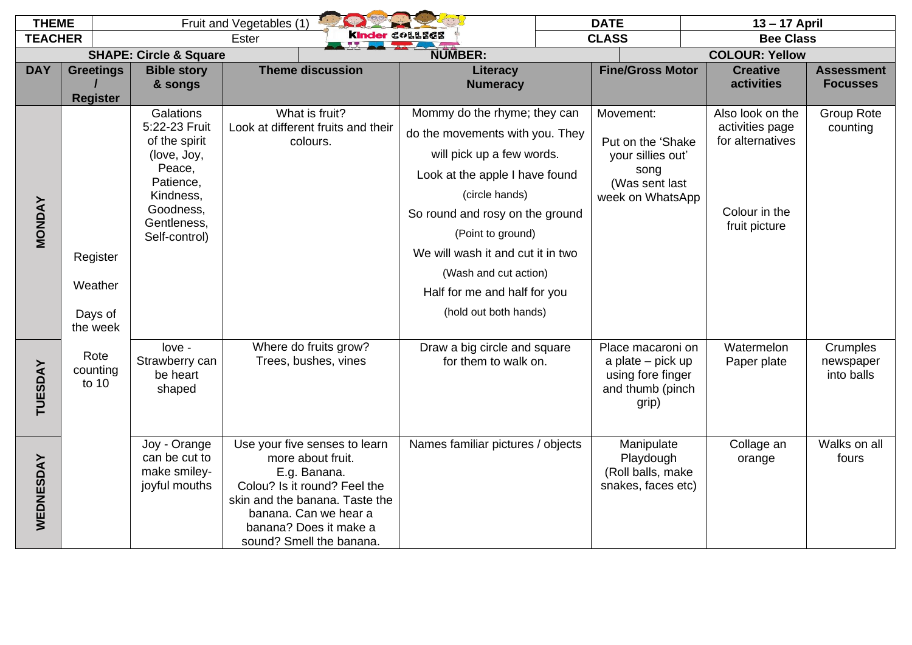| <b>THEME</b>   |                                            | Fruit and Vegetables (1)                                                                                                                    |                                                                                                                                                                                                                     |                                                                                                                                                                                                                                                                                                                                 |  | <b>DATE</b>                                                                                       | 13 – 17 April                                                                             |                                      |
|----------------|--------------------------------------------|---------------------------------------------------------------------------------------------------------------------------------------------|---------------------------------------------------------------------------------------------------------------------------------------------------------------------------------------------------------------------|---------------------------------------------------------------------------------------------------------------------------------------------------------------------------------------------------------------------------------------------------------------------------------------------------------------------------------|--|---------------------------------------------------------------------------------------------------|-------------------------------------------------------------------------------------------|--------------------------------------|
| <b>TEACHER</b> |                                            | Ester<br><b>The Contract of the Contract of the Contract of the Contract of the Contract of the Contract of the Contract o</b>              |                                                                                                                                                                                                                     | Kinder COLLEGE                                                                                                                                                                                                                                                                                                                  |  | <b>CLASS</b><br><b>Bee Class</b>                                                                  |                                                                                           |                                      |
|                |                                            | <b>SHAPE: Circle &amp; Square</b>                                                                                                           |                                                                                                                                                                                                                     | <b>NUMBER:</b>                                                                                                                                                                                                                                                                                                                  |  |                                                                                                   | <b>COLOUR: Yellow</b>                                                                     |                                      |
| <b>DAY</b>     | <b>Greetings</b><br><b>Register</b>        | <b>Bible story</b><br>& songs                                                                                                               | <b>Theme discussion</b>                                                                                                                                                                                             | Literacy<br><b>Numeracy</b>                                                                                                                                                                                                                                                                                                     |  | <b>Fine/Gross Motor</b>                                                                           | <b>Creative</b><br><b>activities</b>                                                      | <b>Assessment</b><br><b>Focusses</b> |
| <b>MONDAY</b>  | Register<br>Weather<br>Days of<br>the week | Galations<br>5:22-23 Fruit<br>of the spirit<br>(love, Joy,<br>Peace,<br>Patience,<br>Kindness,<br>Goodness,<br>Gentleness,<br>Self-control) | What is fruit?<br>Look at different fruits and their<br>colours.                                                                                                                                                    | Mommy do the rhyme; they can<br>do the movements with you. They<br>will pick up a few words.<br>Look at the apple I have found<br>(circle hands)<br>So round and rosy on the ground<br>(Point to ground)<br>We will wash it and cut it in two<br>(Wash and cut action)<br>Half for me and half for you<br>(hold out both hands) |  | Movement:<br>Put on the 'Shake<br>your sillies out'<br>song<br>(Was sent last<br>week on WhatsApp | Also look on the<br>activities page<br>for alternatives<br>Colour in the<br>fruit picture | <b>Group Rote</b><br>counting        |
| <b>TUESDAY</b> | Rote<br>counting<br>to 10                  | love -<br>Strawberry can<br>be heart<br>shaped                                                                                              | Where do fruits grow?<br>Trees, bushes, vines                                                                                                                                                                       | Draw a big circle and square<br>for them to walk on.                                                                                                                                                                                                                                                                            |  | Place macaroni on<br>a plate – pick up<br>using fore finger<br>and thumb (pinch<br>grip)          | Watermelon<br>Paper plate                                                                 | Crumples<br>newspaper<br>into balls  |
| WEDNESDAY      |                                            | Joy - Orange<br>can be cut to<br>make smiley-<br>joyful mouths                                                                              | Use your five senses to learn<br>more about fruit.<br>E.g. Banana.<br>Colou? Is it round? Feel the<br>skin and the banana. Taste the<br>banana. Can we hear a<br>banana? Does it make a<br>sound? Smell the banana. | Names familiar pictures / objects                                                                                                                                                                                                                                                                                               |  | Manipulate<br>Playdough<br>(Roll balls, make<br>snakes, faces etc)                                | Collage an<br>orange                                                                      | Walks on all<br>fours                |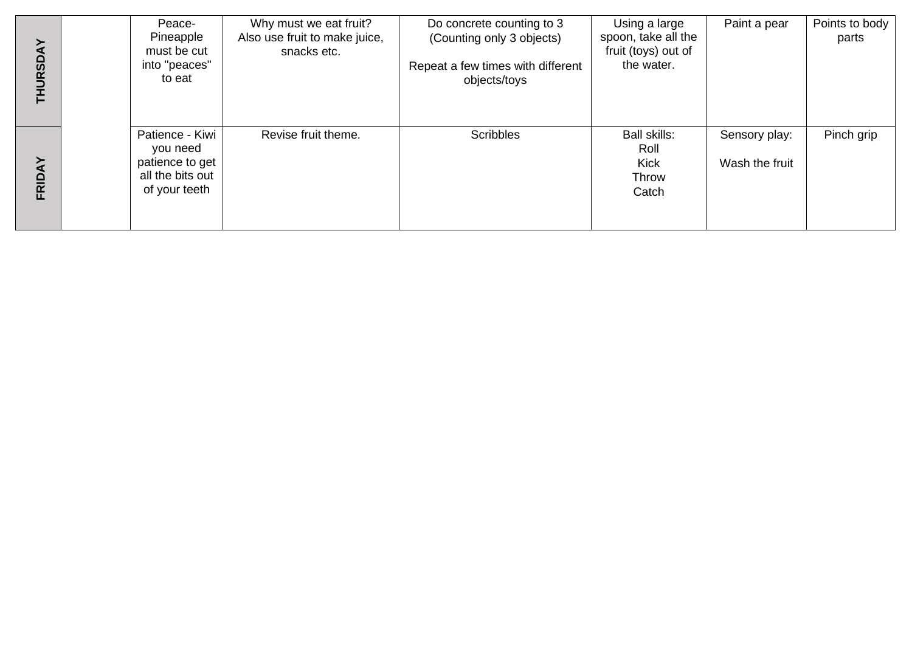| <b>RSD</b>       | Peace-<br>Pineapple<br>must be cut<br>into "peaces"<br>to eat                       | Why must we eat fruit?<br>Also use fruit to make juice,<br>snacks etc. | Do concrete counting to 3<br>(Counting only 3 objects)<br>Repeat a few times with different<br>objects/toys | Using a large<br>spoon, take all the<br>fruit (toys) out of<br>the water. | Paint a pear                    | Points to body<br>parts |
|------------------|-------------------------------------------------------------------------------------|------------------------------------------------------------------------|-------------------------------------------------------------------------------------------------------------|---------------------------------------------------------------------------|---------------------------------|-------------------------|
| <b>IDAY</b><br>匠 | Patience - Kiwi<br>you need<br>patience to get<br>all the bits out<br>of your teeth | Revise fruit theme.                                                    | <b>Scribbles</b>                                                                                            | <b>Ball skills:</b><br>Roll<br><b>Kick</b><br>Throw<br>Catch              | Sensory play:<br>Wash the fruit | Pinch grip              |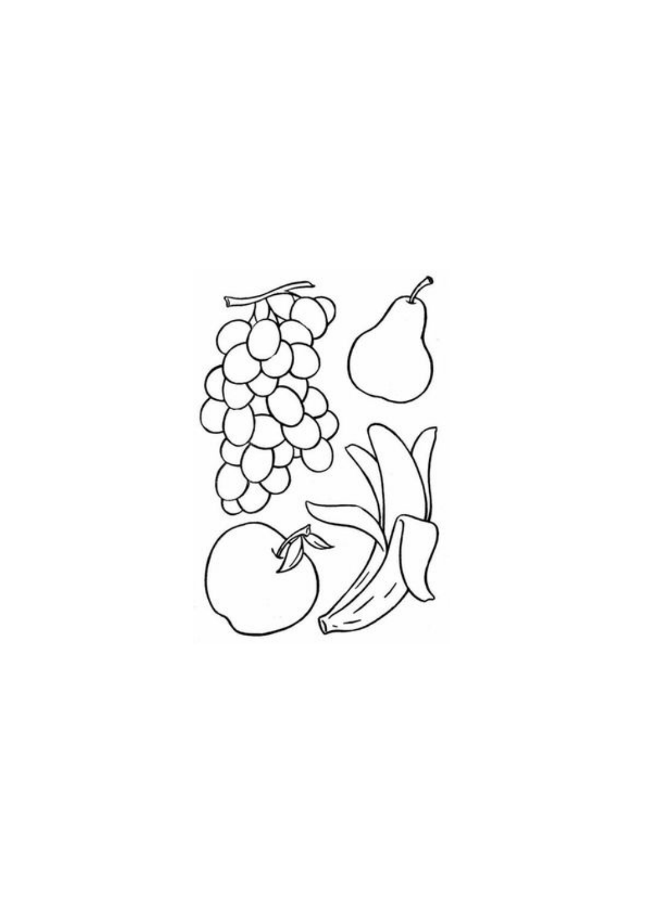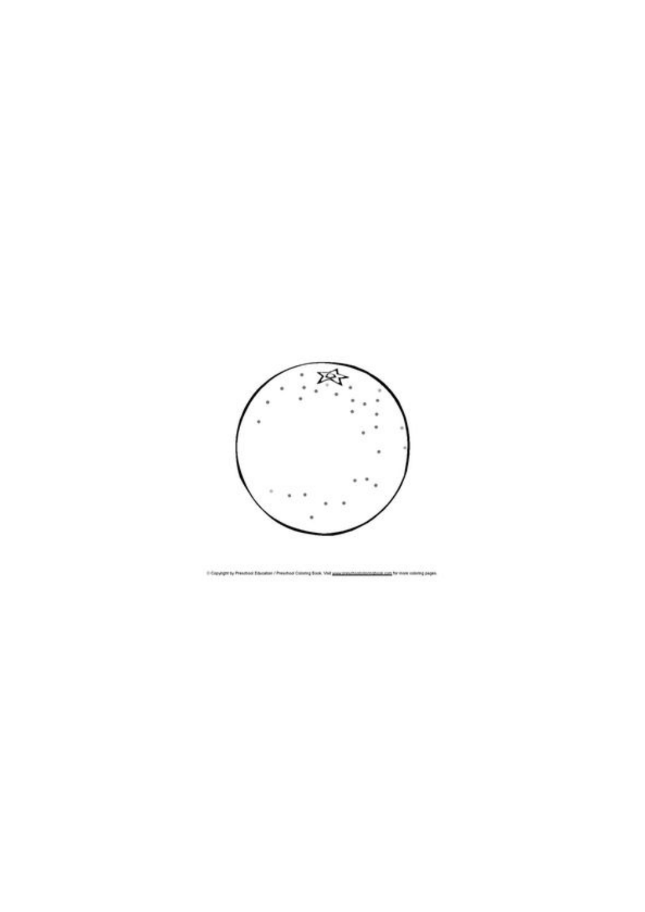

Il Copyignt by Presidosi Education / Presidiosi Commitgebook, Visit an **COMMUNICATE** for those collecting pages.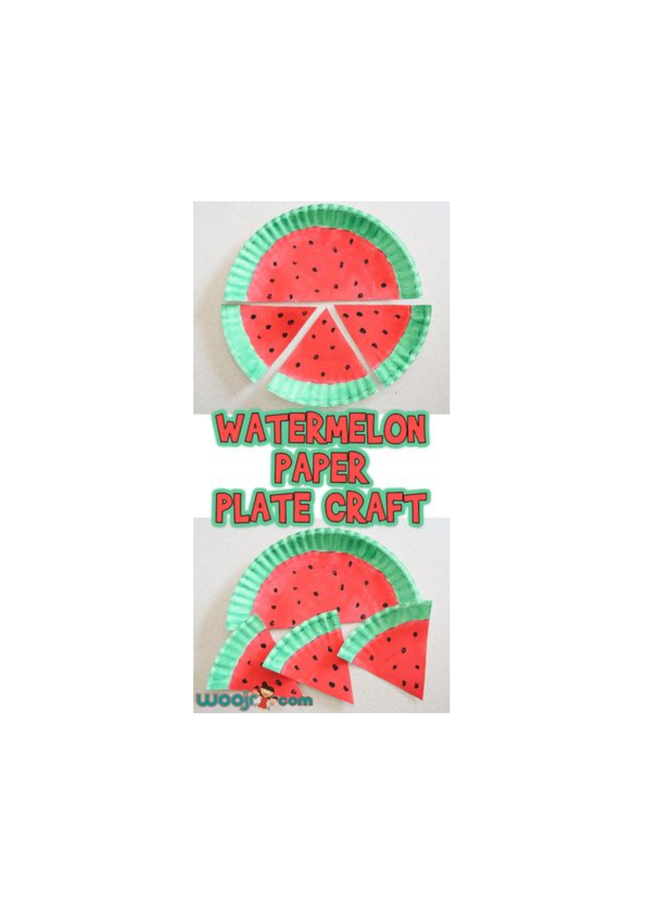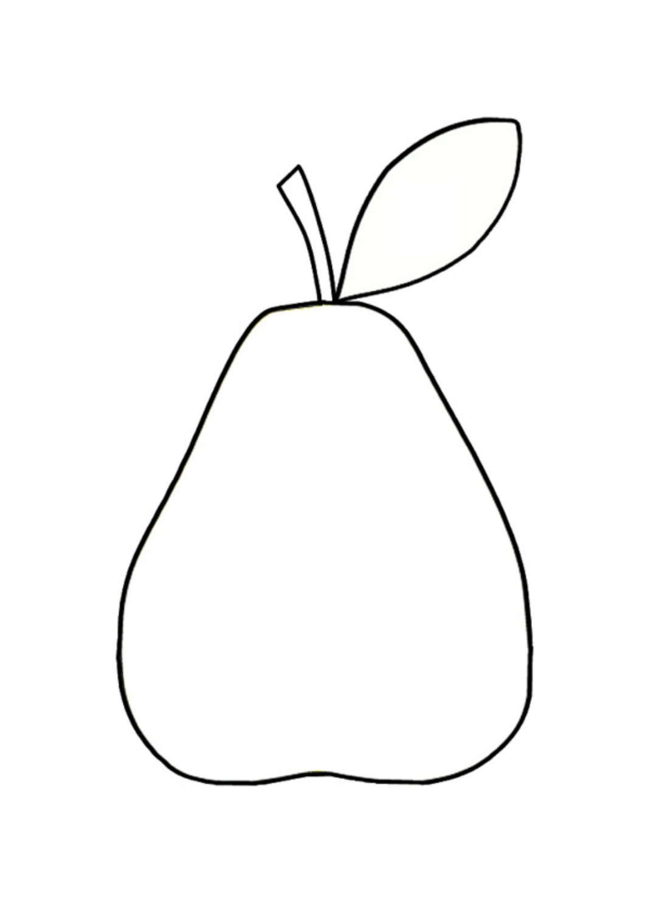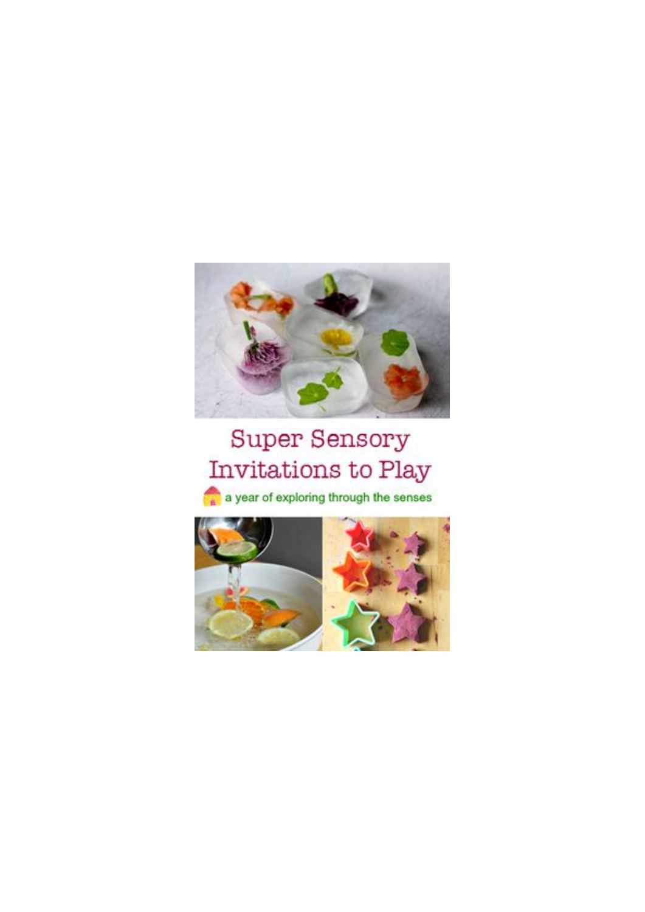

## **Super Sensory** Invitations to Play

a year of exploring through the senses